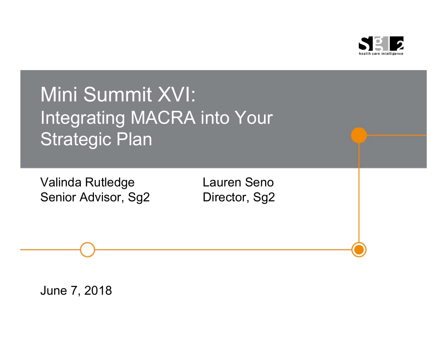

# Mini Summit XVI: Integrating MACRA into Your Strategic Plan

Valinda Rutledge Lauren Seno Senior Advisor, Sg2 Director, Sg2

June 7, 2018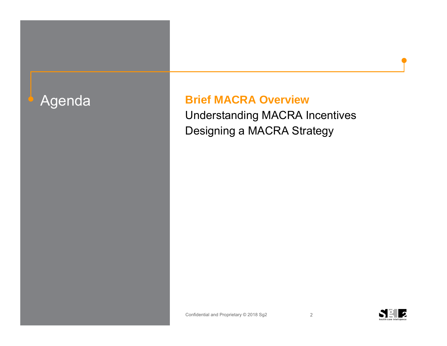### Agenda **Brief MACRA Overview**

Understanding MACRA Incentives Designing a MACRA Strategy

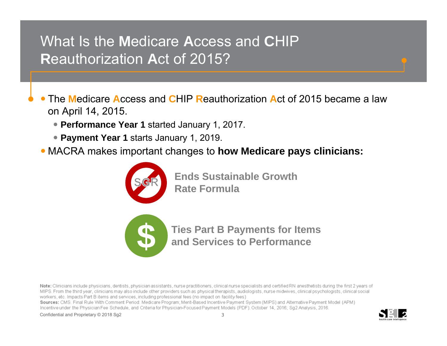### What Is the **M**edicare **A**ccess and **C**HIP **R**eauthorization **A**ct of 2015?

 $\bullet$  The **M**edicare **A**ccess and **C**HIP **R**eauthorization **A**ct of 2015 became a law on April 14, 2015.

- **Performance Year 1** started January 1, 2017.
- **Payment Year 1** starts January 1, 2019.
- **MACRA makes important changes to how Medicare pays clinicians:**



**Ends Sustainable Growth Rate Formula**

**\$ Ties Part B Payments for Items and Services to Performance**

Note: Clinicians include physicians, dentists, physician assistants, nurse practitioners, clinical nurse specialists and certified RN anesthetists during the first 2 years of MIPS. From the third year, clinicians may also include other providers such as physical therapists, audiologists, nurse midwives, clinical psychologists, clinical social workers, etc. Impacts Part B items and services, including professional fees (no impact on facility fees)

Sources: CMS. Final Rule With Comment Period: Medicare Program: Merit-Based Incentive Payment System (MIPS) and Alternative Payment Model (APM) Incentive under the Physician Fee Schedule, and Criteria for Physician-Focused Payment Models (PDF). October 14, 2016; Sg2 Analysis, 2016

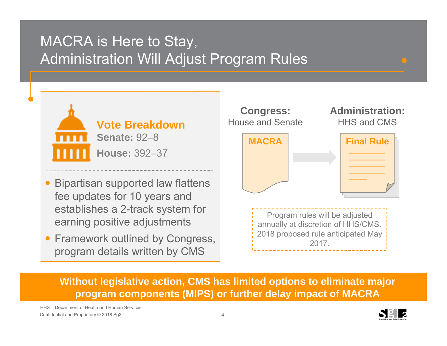## MACRA is Here to Stay, Administration Will Adjust Program Rules



- $\bullet$  Bipartisan supported law flattens fee updates for 10 years and establishes a 2-track system for earning positive adjustments
- Framework outlined by Congress, program details written by CMS



**Without legislative action, CMS has limited options to eliminate major program components (MIPS) or further delay impact of MACRA**

Confidential and Proprietary © 2018 Sg2 HHS = Department of Health and Human Services.

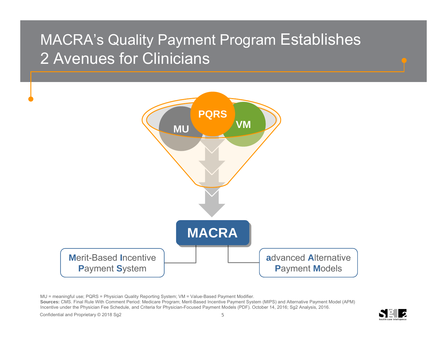# MACRA's Quality Payment Program Establishes 2 Avenues for Clinicians



MU = meaningful use; PQRS = Physician Quality Reporting System; VM = Value-Based Payment Modifier. **Sources:** CMS. Final Rule With Comment Period: Medicare Program; Merit-Based Incentive Payment System (MIPS) and Alternative Payment Model (APM) Incentive under the Physician Fee Schedule, and Criteria for Physician-Focused Payment Models (PDF). October 14, 2016; Sg2 Analysis, 2016.

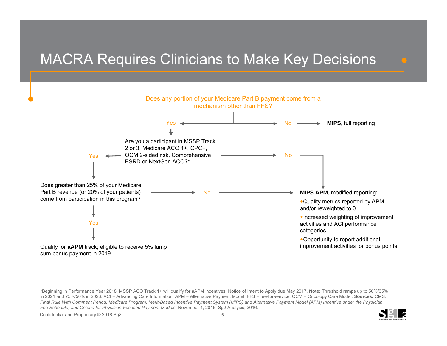### MACRA Requires Clinicians to Make Key Decisions



\*Beginning in Performance Year 2018, MSSP ACO Track 1+ will qualify for aAPM incentives. Notice of Intent to Apply due May 2017. **Note:** Threshold ramps up to 50%/35% in 2021 and 75%/50% in 2023. ACI = Advancing Care Information; APM = Alternative Payment Model; FFS = fee-for-service; OCM = Oncology Care Model. **Sources:** CMS. *Final Rule With Comment Period: Medicare Program; Merit-Based Incentive Payment System (MIPS) and Alternative Payment Model (APM) Incentive under the Physician Fee Schedule, and Criteria for Physician-Focused Payment Models*. November 4, 2016; Sg2 Analysis, 2016.

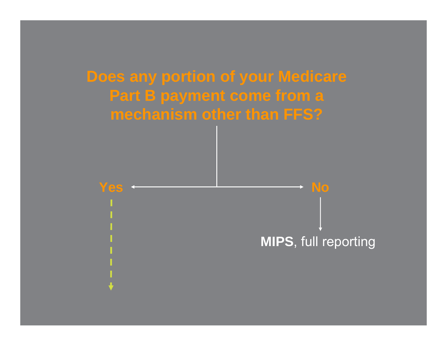

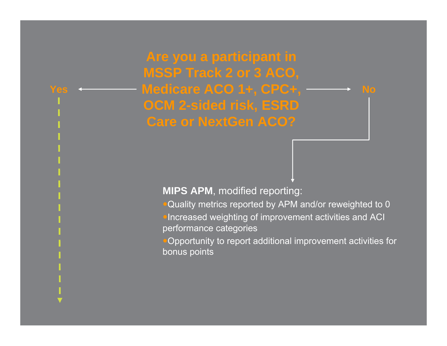**Are you a participant in MSSP Track 2 or 3 ACO, Medicare ACO 1+, CPC+, NoOCM 2-sided risk, ESRD Care or NextGen ACO?**

**MIPS APM**, modified reporting:

• Quality metrics reported by APM and/or reweighted to 0

**Increased weighting of improvement activities and ACI** performance categories

**Opportunity to report additional improvement activities for** bonus points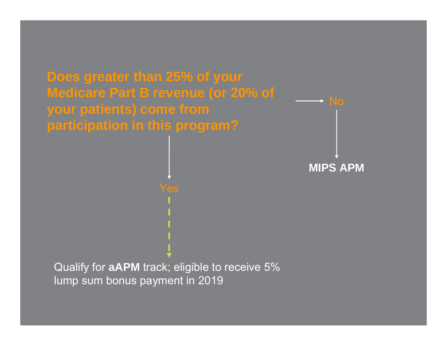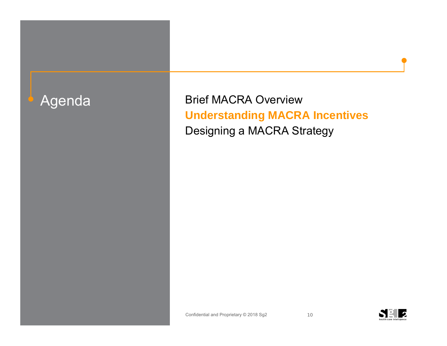Agenda Brief MACRA Overview **Understanding MACRA Incentives** Designing a MACRA Strategy

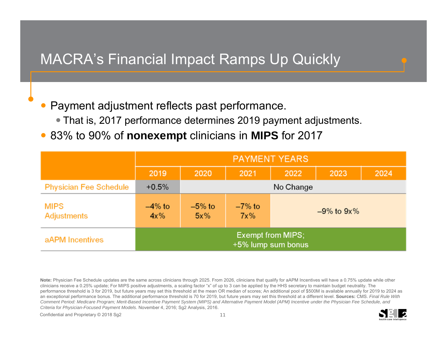### MACRA's Financial Impact Ramps Up Quickly

 $\bullet$ Payment adjustment reflects past performance.

- $\bullet$  That is, 2017 performance determines 2019 payment adjustments.
- $\bullet$ 83% to 90% of **nonexempt** clinicians in **MIPS** for 2017

|                               | <b>PAYMENT YEARS</b>                           |                    |                     |                  |      |      |
|-------------------------------|------------------------------------------------|--------------------|---------------------|------------------|------|------|
|                               | 2019                                           | 2020               | 2021                | 2022             | 2023 | 2024 |
| <b>Physician Fee Schedule</b> | $+0.5%$                                        | No Change          |                     |                  |      |      |
| <b>MIPS</b><br>Adjustments    | $-4\%$ to<br>4x%                               | $-5%$ to<br>$5x\%$ | $-7\%$ to<br>$7x\%$ | $-9\%$ to $9x\%$ |      |      |
| aAPM Incentives               | <b>Exempt from MIPS;</b><br>+5% lump sum bonus |                    |                     |                  |      |      |

Note: Physician Fee Schedule updates are the same across clinicians through 2025. From 2026, clinicians that qualify for aAPM Incentives will have a 0.75% update while other clinicians receive a 0.25% update; For MIPS positive adjustments, a scaling factor "x" of up to 3 can be applied by the HHS secretary to maintain budget neutrality. The performance threshold is 3 for 2019, but future years may set this threshold at the mean OR median of scores; An additional pool of \$500M is available annually for 2019 to 2024 as an exceptional performance bonus. The additional performance threshold is 70 for 2019, but future years may set this threshold at a different level. **Sources:** CMS. *Final Rule With Comment Period: Medicare Program; Merit-Based Incentive Payment System (MIPS) and Alternative Payment Model (APM) Incentive under the Physician Fee Schedule, and Criteria for Physician-Focused Payment Models*. November 4, 2016; Sg2 Analysis, 2016.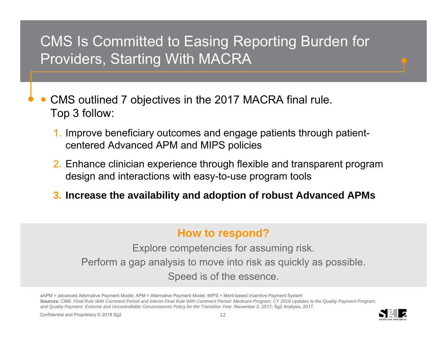### CMS Is Committed to Easing Reporting Burden for Providers, Starting With MACRA

- $\bullet$  CMS outlined 7 objectives in the 2017 MACRA final rule. Top 3 follow:
	- 1. Improve beneficiary outcomes and engage patients through patientcentered Advanced APM and MIPS policies
	- 2. Enhance clinician experience through flexible and transparent program design and interactions with easy-to-use program tools
	- **3. Increase the availability and adoption of robust Advanced APMs**

### **How to respond?**

Explore competencies for assuming risk. Perform a gap analysis to move into risk as quickly as possible. Speed is of the essence.

aAPM = advanced Alternative Payment Model; APM = Alternative Payment Model; MIPS = Merit-based Incentive Payment System **Sources:** CMS*. Final Rule With Comment Period and Interim Final Rule With Comment Period: Medicare Program; CY 2018 Updates to the Quality Payment Program; and Quality Payment: Extreme and Uncontrollable Circumstances Policy for the Transition Year*. November 2, 2017*;* Sg2 Analysis, 2017.

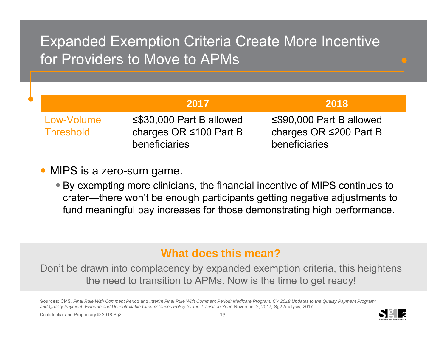## Expanded Exemption Criteria Create More Incentive for Providers to Move to APMs

|                                | 2017                                                                                   | 2018                                                                                   |
|--------------------------------|----------------------------------------------------------------------------------------|----------------------------------------------------------------------------------------|
| Low-Volume<br><b>Threshold</b> | $\leq$ \$30,000 Part B allowed<br>charges OR $\leq 100$ Part B<br><b>beneficiaries</b> | $\leq$ \$90,000 Part B allowed<br>charges OR $\leq$ 200 Part B<br><b>beneficiaries</b> |

#### $\bullet$ MIPS is a zero-sum game.

• By exempting more clinicians, the financial incentive of MIPS continues to crater—there won't be enough participants getting negative adjustments to fund meaningful pay increases for those demonstrating high performance.

### **What does this mean?**

Don't be drawn into complacency by expanded exemption criteria, this heightens the need to transition to APMs. Now is the time to get ready!

**Sources:** CMS*. Final Rule With Comment Period and Interim Final Rule With Comment Period: Medicare Program; CY 2018 Updates to the Quality Payment Program; and Quality Payment: Extreme and Uncontrollable Circumstances Policy for the Transition Year*. November 2, 2017*;* Sg2 Analysis, 2017.

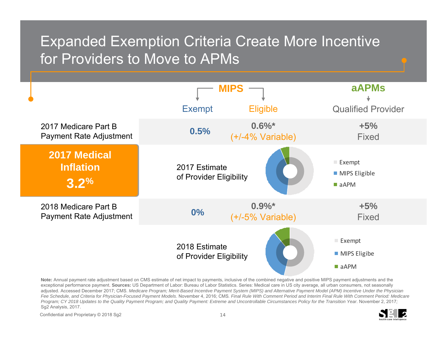### Expanded Exemption Criteria Create More Incentive for Providers to Move to APMs



**Note:** Annual payment rate adjustment based on CMS estimate of net impact to payments, inclusive of the combined negative and positive MIPS payment adjustments and the exceptional performance payment. **Sources:** US Department of Labor: Bureau of Labor Statistics. Series: Medical care in US city average, all urban consumers, not seasonally adjusted. Accessed December 2017; CMS. *Medicare Program; Merit-Based Incentive Payment System (MIPS) and Alternative Payment Model (APM) Incentive Under the Physician Fee Schedule, and Criteria for Physician-Focused Payment Models*. November 4, 2016; CMS*. Final Rule With Comment Period and Interim Final Rule With Comment Period: Medicare Program; CY 2018 Updates to the Quality Payment Program; and Quality Payment: Extreme and Uncontrollable Circumstances Policy for the Transition Year*. November 2, 2017*;*  Sg2 Analysis, 2017.

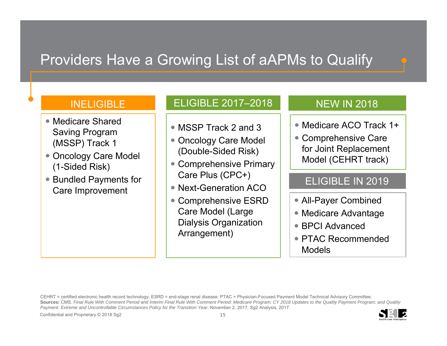# Providers Have a Growing List of aAPMs to Qualify

### **INELIGIBLE**

- Medicare Shared Saving Program (MSSP) Track 1
- $\bullet$  Oncology Care Model (1-Sided Risk)
- Bundled Payments for Care Improvement

### ELIGIBLE 2017–2018

- MSSP Track 2 and 3
- Oncology Care Model (Double-Sided Risk)
- Comprehensive Primary Care Plus (CPC+)
- Next-Generation ACO
- Comprehensive ESRD Care Model (Large Dialysis Organization Arrangement)

#### NEW IN 2018

- Medicare ACO Track 1+
- Comprehensive Care for Joint Replacement Model (CEHRT track)

#### ELIGIBLE IN 2019

- All-Payer Combined
- Medicare Advantage
- BPCI Advanced
- PTAC Recommended Models

CEHRT = certified electronic health record technology; ESRD = end-stage renal disease; PTAC = Physician-Focused Payment Model Technical Advisory Committee. Sources: CMS. Final Rule With Comment Period and Interim Final Rule With Comment Period: Medicare Program; CY 2018 Updates to the Quality Payment Program; and Quality *Payment: Extreme and Uncontrollable Circumstances Policy for the Transition Year*. November 2, 2017*;* Sg2 Analysis, 2017.

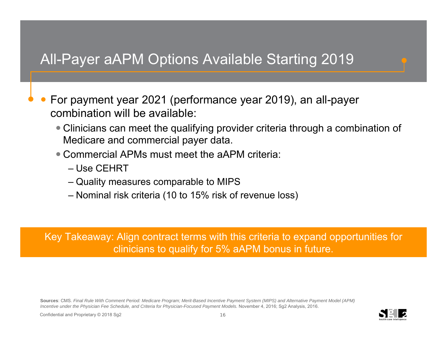### All-Payer aAPM Options Available Starting 2019

 $\bullet$  For payment year 2021 (performance year 2019), an all-payer combination will be available:

- Clinicians can meet the qualifying provider criteria through a combination of Medicare and commercial payer data.
- Commercial APMs must meet the aAPM criteria:
	- Use CEHRT
	- Quality measures comparable to MIPS
	- Nominal risk criteria (10 to 15% risk of revenue loss)

Key Takeaway: Align contract terms with this criteria to expand opportunities for clinicians to qualify for 5% aAPM bonus in future.

**Sources**: CMS*. Final Rule With Comment Period: Medicare Program; Merit-Based Incentive Payment System (MIPS) and Alternative Payment Model (APM) Incentive under the Physician Fee Schedule, and Criteria for Physician-Focused Payment Models.* November 4, 2016; Sg2 Analysis, 2016.

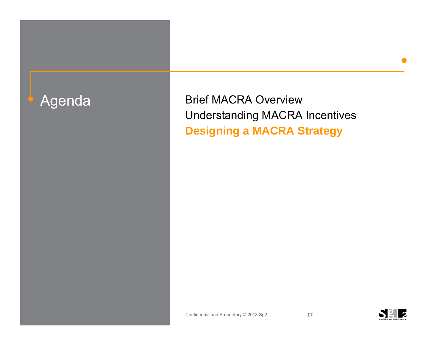Agenda Brief MACRA Overview Understanding MACRA Incentives **Designing a MACRA Strategy**

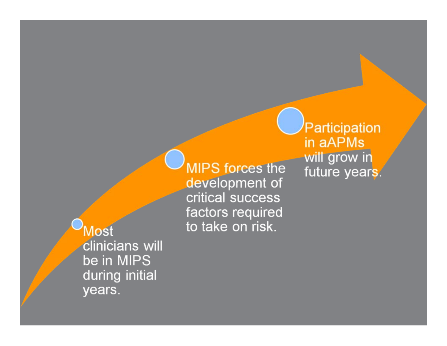**MIPS forces the** development of critical success factors required to take on risk.

Participation in aAPMs will grow in future years.

### **Most clinicians** will be in MIPS during initial years.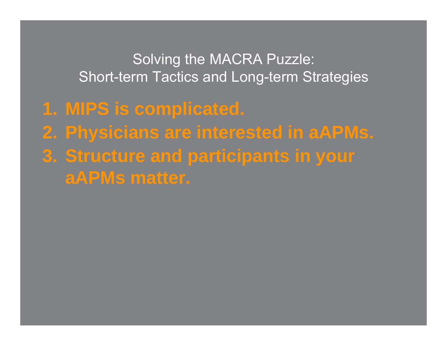Solving the MACRA Puzzle: Short-term Tactics and Long-term Strategies

- **1. MIPS is complicated.**
- **2. Physicians are interested in aAPMs.**
- **3. Structure and participants in your aAPMs matter.**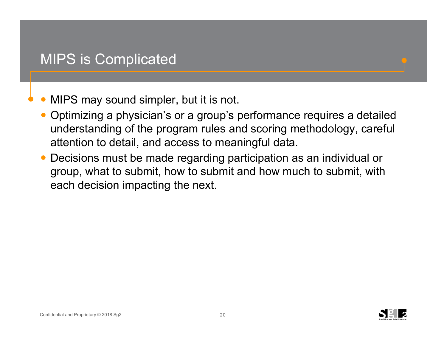#### $\bullet$ MIPS may sound simpler, but it is not.

- $\bullet$  Optimizing a physician's or a group's performance requires a detailed understanding of the program rules and scoring methodology, careful attention to detail, and access to meaningful data.
- $\bullet$  Decisions must be made regarding participation as an individual or group, what to submit, how to submit and how much to submit, with each decision impacting the next.

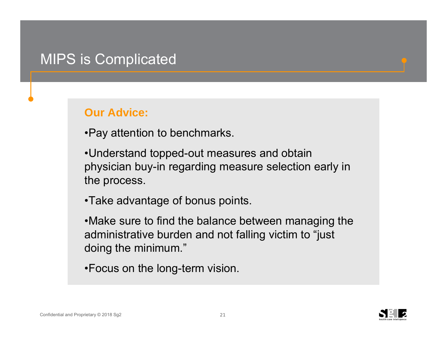## MIPS is Complicated

#### **Our Advice:**

•Pay attention to benchmarks.

•Understand topped-out measures and obtain physician buy-in regarding measure selection early in the process.

•Take advantage of bonus points.

•Make sure to find the balance between managing the administrative burden and not falling victim to "just doing the minimum."

•Focus on the long-term vision.

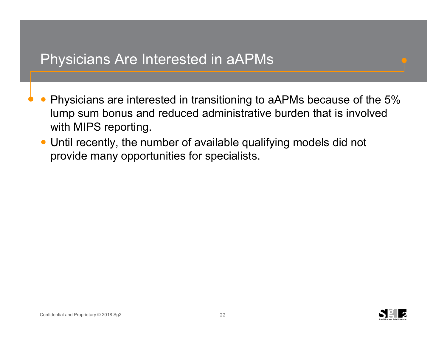### Physicians Are Interested in aAPMs

- $\bullet$  Physicians are interested in transitioning to aAPMs because of the 5% lump sum bonus and reduced administrative burden that is involved with MIPS reporting.
	- $\bullet$  Until recently, the number of available qualifying models did not provide many opportunities for specialists.

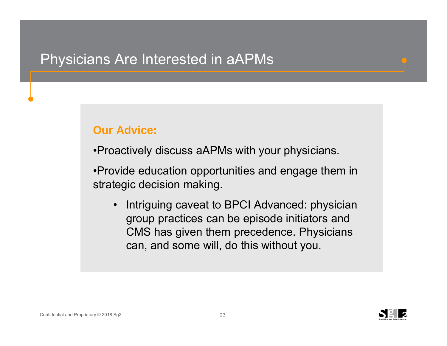### Physicians Are Interested in aAPMs

#### **Our Advice:**

•Proactively discuss aAPMs with your physicians.

•Provide education opportunities and engage them in strategic decision making.

 $\bullet$  Intriguing caveat to BPCI Advanced: physician group practices can be episode initiators and CMS has given them precedence. Physicians can, and some will, do this without you.

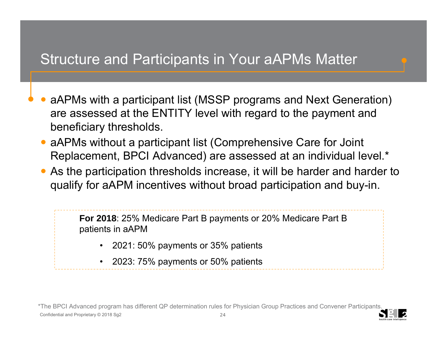### Structure and Participants in Your aAPMs Matter

- $\bullet$  aAPMs with a participant list (MSSP programs and Next Generation) are assessed at the ENTITY level with regard to the payment and beneficiary thresholds.
	- aAPMs without a participant list (Comprehensive Care for Joint Replacement, BPCI Advanced) are assessed at an individual level.\*
	- $\bullet$  As the participation thresholds increase, it will be harder and harder to qualify for aAPM incentives without broad participation and buy-in.

**For 2018**: 25% Medicare Part B payments or 20% Medicare Part B patients in aAPM

- •2021: 50% payments or 35% patients
- •2023: 75% payments or 50% patients

Confidential and Proprietary © 2018 Sg2 24 \*The BPCI Advanced program has different QP determination rules for Physician Group Practices and Convener Participants.

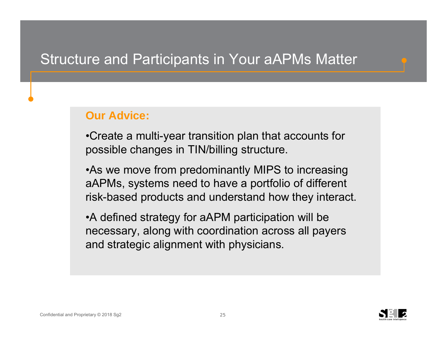### Structure and Participants in Your aAPMs Matter

### **Our Advice:**

•Create a multi-year transition plan that accounts for possible changes in TIN/billing structure.

•As we move from predominantly MIPS to increasing aAPMs, systems need to have a portfolio of different risk-based products and understand how they interact.

•A defined strategy for aAPM participation will be necessary, along with coordination across all payers and strategic alignment with physicians.

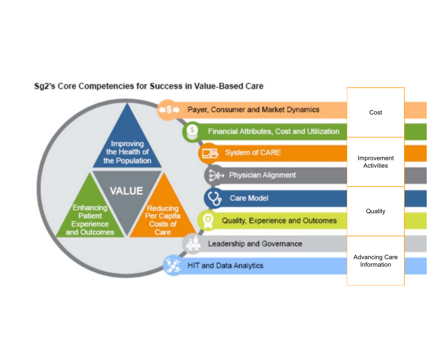#### $50$ Payer, Consumer and Market Dynamics CostFinancial Attributes, Cost and Utilization Improving the Health of **System of CARE** Improvement the Population **Activities** Physician Alignment **VALUE Care Model** Enhancing Reducing **Quality** Patient **Per Capita** Quality, Experience and Outcomes Costs of Experience and Outcomes Care Leadership and Governance Advancing Care Information**HIT and Data Analytics**

#### Sg2's Core Competencies for Success in Value-Based Care